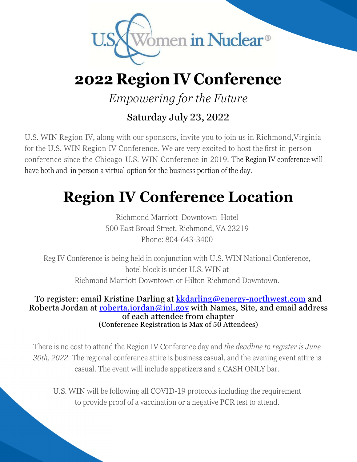

## **2022 Region IV Conference**

*Empowering for the Future*

#### Saturday July 23, 2022

U.S. WIN Region IV, along with our sponsors, invite you to join us in Richmond, Virginia for the U.S. WIN Region IV Conference. We are very excited to host the first in person conference since the Chicago U.S. WIN Conference in 2019. The Region IV conference will have both and in person a virtual option for the business portion of the day.

# **Region IV Conference Location**

Richmond Marriott Downtown Hotel 500 East Broad Street, Richmond, VA 23219 Phone: 804-643-3400

Reg IV Conference is being held in conjunction with U.S. WIN National Conference, hotel block is under U.S. WIN at Richmond Marriott Downtown or Hilton Richmond Downtown.

To register: email Kristine Darling at kkdarling@energy-northwest.com and Roberta Jordan at roberta.jordan@inl.gov with Names, Site, and email address of each attendee from chapter (Conference Registration is Max of 50 Attendees)

There is no cost to attend the Region IV Conference day and *the deadline to register is June 30th, 2022.* The regional conference attire is business casual, and the evening event attire is casual. The event will include appetizers and a CASH ONLY bar.

U.S. WIN will be following all COVID-19 protocols including the requirement to provide proof of a vaccination or a negative PCR test to attend.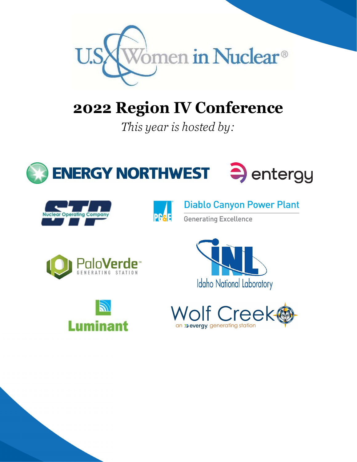

# **2022 Region IV Conference**

*This year is hosted by:* 







**Diablo Canyon Power Plant** 

**Generating Excellence**